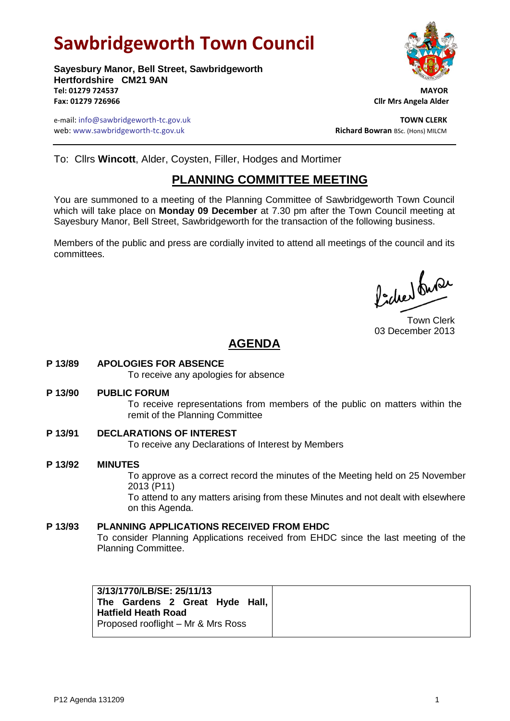# **Sawbridgeworth Town Council**

**Sayesbury Manor, Bell Street, Sawbridgeworth Hertfordshire CM21 9AN Tel: 01279 724537 MAYOR Fax: 01279 726966 Cllr Mrs Angela Alder**

e-mail: info@sawbridgeworth-tc.gov.uk **TOWN CLERK** web: www.sawbridgeworth-tc.gov.uk and the state of the state of the **Richard Bowran** BSc. (Hons) MILCM

To: Cllrs **Wincott**, Alder, Coysten, Filler, Hodges and Mortimer

## **PLANNING COMMITTEE MEETING**

You are summoned to a meeting of the Planning Committee of Sawbridgeworth Town Council which will take place on **Monday 09 December** at 7.30 pm after the Town Council meeting at Sayesbury Manor, Bell Street, Sawbridgeworth for the transaction of the following business.

Members of the public and press are cordially invited to attend all meetings of the council and its committees.

Picked fuse

Town Clerk 03 December 2013

# **AGENDA**

**P 13/89 APOLOGIES FOR ABSENCE**

To receive any apologies for absence

**P 13/90 PUBLIC FORUM**

To receive representations from members of the public on matters within the remit of the Planning Committee

- **P 13/91 DECLARATIONS OF INTEREST** To receive any Declarations of Interest by Members
- **P 13/92 MINUTES** To approve as a correct record the minutes of the Meeting held on 25 November 2013 (P11) To attend to any matters arising from these Minutes and not dealt with elsewhere on this Agenda. **P 13/93 PLANNING APPLICATIONS RECEIVED FROM EHDC**
	- To consider Planning Applications received from EHDC since the last meeting of the Planning Committee.

| 3/13/1770/LB/SE: 25/11/13<br>The Gardens 2 Great Hyde Hall,<br><b>Hatfield Heath Road</b><br>Proposed rooflight - Mr & Mrs Ross |  |
|---------------------------------------------------------------------------------------------------------------------------------|--|
|---------------------------------------------------------------------------------------------------------------------------------|--|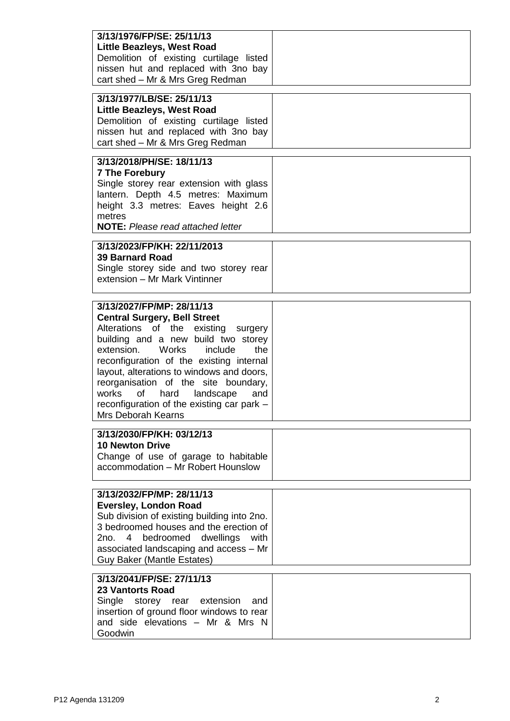| 3/13/1976/FP/SE: 25/11/13<br><b>Little Beazleys, West Road</b><br>Demolition of existing curtilage listed<br>nissen hut and replaced with 3no bay<br>cart shed - Mr & Mrs Greg Redman                                                                                                                                                                                                                                                |  |
|--------------------------------------------------------------------------------------------------------------------------------------------------------------------------------------------------------------------------------------------------------------------------------------------------------------------------------------------------------------------------------------------------------------------------------------|--|
| 3/13/1977/LB/SE: 25/11/13<br><b>Little Beazleys, West Road</b><br>Demolition of existing curtilage listed<br>nissen hut and replaced with 3no bay<br>cart shed - Mr & Mrs Greg Redman                                                                                                                                                                                                                                                |  |
| 3/13/2018/PH/SE: 18/11/13<br><b>7 The Forebury</b><br>Single storey rear extension with glass<br>lantern. Depth 4.5 metres: Maximum<br>height 3.3 metres: Eaves height 2.6<br>metres<br><b>NOTE:</b> Please read attached letter                                                                                                                                                                                                     |  |
| 3/13/2023/FP/KH: 22/11/2013<br><b>39 Barnard Road</b><br>Single storey side and two storey rear<br>extension - Mr Mark Vintinner                                                                                                                                                                                                                                                                                                     |  |
| 3/13/2027/FP/MP: 28/11/13<br><b>Central Surgery, Bell Street</b><br>Alterations of the existing surgery<br>building and a new build two storey<br>extension.<br>Works include<br>the<br>reconfiguration of the existing internal<br>layout, alterations to windows and doors,<br>reorganisation of the site boundary,<br>works<br>0f<br>hard<br>landscape<br>and<br>reconfiguration of the existing car park -<br>Mrs Deborah Kearns |  |
| 3/13/2030/FP/KH: 03/12/13<br><b>10 Newton Drive</b><br>Change of use of garage to habitable<br>accommodation - Mr Robert Hounslow                                                                                                                                                                                                                                                                                                    |  |
| 3/13/2032/FP/MP: 28/11/13<br><b>Eversley, London Road</b><br>Sub division of existing building into 2no.<br>3 bedroomed houses and the erection of<br>dwellings<br>bedroomed<br>with<br>2no.<br>4<br>associated landscaping and access - Mr<br><b>Guy Baker (Mantle Estates)</b>                                                                                                                                                     |  |
| 3/13/2041/FP/SE: 27/11/13<br><b>23 Vantorts Road</b><br>Single storey rear extension<br>and<br>insertion of ground floor windows to rear<br>and side elevations - Mr & Mrs N<br>Goodwin                                                                                                                                                                                                                                              |  |